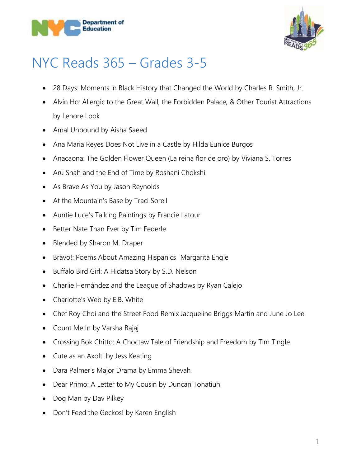



## NYC Reads 365 – Grades 3-5

- 28 Days: Moments in Black History that Changed the World by Charles R. Smith, Jr.
- Alvin Ho: Allergic to the Great Wall, the Forbidden Palace, & Other Tourist Attractions by Lenore Look
- Amal Unbound by Aisha Saeed
- Ana Maria Reyes Does Not Live in a Castle by Hilda Eunice Burgos
- Anacaona: The Golden Flower Queen (La reina flor de oro) by Viviana S. Torres
- Aru Shah and the End of Time by Roshani Chokshi
- As Brave As You by Jason Reynolds
- At the Mountain's Base by Traci Sorell
- Auntie Luce's Talking Paintings by Francie Latour
- Better Nate Than Ever by Tim Federle
- Blended by Sharon M. Draper
- Bravo!: Poems About Amazing Hispanics Margarita Engle
- Buffalo Bird Girl: A Hidatsa Story by S.D. Nelson
- Charlie Hernández and the League of Shadows by Ryan Calejo
- Charlotte's Web by E.B. White
- Chef Roy Choi and the Street Food Remix Jacqueline Briggs Martin and June Jo Lee
- Count Me In by Varsha Bajaj
- Crossing Bok Chitto: A Choctaw Tale of Friendship and Freedom by Tim Tingle
- Cute as an Axoltl by Jess Keating
- Dara Palmer's Major Drama by Emma Shevah
- Dear Primo: A Letter to My Cousin by Duncan Tonatiuh
- Dog Man by Dav Pilkey
- Don't Feed the Geckos! by Karen English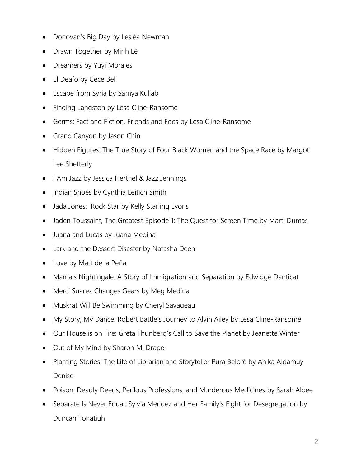- Donovan's Big Day by Lesléa Newman
- Drawn Together by Minh Lê
- Dreamers by Yuyi Morales
- El Deafo by Cece Bell
- Escape from Syria by Samya Kullab
- Finding Langston by Lesa Cline-Ransome
- Germs: Fact and Fiction, Friends and Foes by Lesa Cline-Ransome
- Grand Canyon by Jason Chin
- Hidden Figures: The True Story of Four Black Women and the Space Race by Margot Lee Shetterly
- I Am Jazz by Jessica Herthel & Jazz Jennings
- Indian Shoes by Cynthia Leitich Smith
- Jada Jones: Rock Star by Kelly Starling Lyons
- Jaden Toussaint, The Greatest Episode 1: The Quest for Screen Time by Marti Dumas
- Juana and Lucas by Juana Medina
- Lark and the Dessert Disaster by Natasha Deen
- Love by Matt de la Peña
- Mama's Nightingale: A Story of Immigration and Separation by Edwidge Danticat
- Merci Suarez Changes Gears by Meg Medina
- Muskrat Will Be Swimming by Cheryl Savageau
- My Story, My Dance: Robert Battle's Journey to Alvin Ailey by Lesa Cline-Ransome
- Our House is on Fire: Greta Thunberg's Call to Save the Planet by Jeanette Winter
- Out of My Mind by Sharon M. Draper
- Planting Stories: The Life of Librarian and Storyteller Pura Belpré by Anika Aldamuy Denise
- Poison: Deadly Deeds, Perilous Professions, and Murderous Medicines by Sarah Albee
- Separate Is Never Equal: Sylvia Mendez and Her Family's Fight for Desegregation by Duncan Tonatiuh